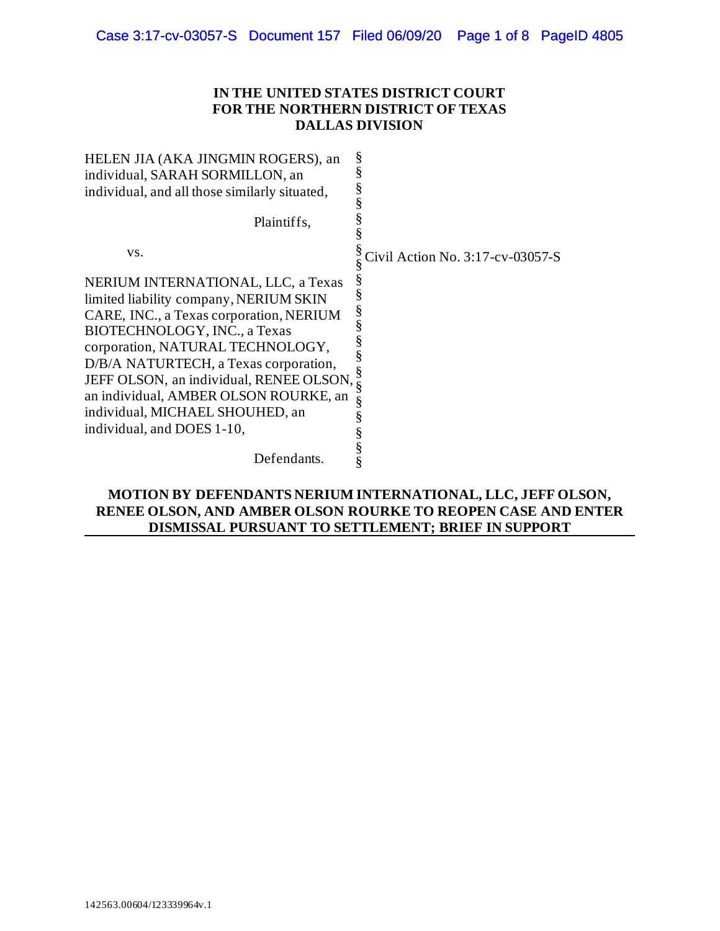## **IN THE UNITED STATES DISTRICT COURT FOR THE NORTHERN DISTRICT OF TEXAS DALLAS DIVISION**

| HELEN JIA (AKA JINGMIN ROGERS), an            | §                                |
|-----------------------------------------------|----------------------------------|
| individual, SARAH SORMILLON, an               | §                                |
| individual, and all those similarly situated, | §                                |
| Plaintiffs,                                   | §                                |
| VS.                                           | Civil Action No. 3:17-cv-03057-S |
| NERIUM INTERNATIONAL, LLC, a Texas            | ş                                |
| limited liability company, NERIUM SKIN        |                                  |
| CARE, INC., a Texas corporation, NERIUM       | ş                                |
| BIOTECHNOLOGY, INC., a Texas                  |                                  |
| corporation, NATURAL TECHNOLOGY,              |                                  |
| D/B/A NATURTECH, a Texas corporation,         |                                  |
| JEFF OLSON, an individual, RENEE OLSON,       | §                                |
| an individual, AMBER OLSON ROURKE, an         | §                                |
| individual, MICHAEL SHOUHED, an               |                                  |
| individual, and DOES 1-10,                    |                                  |
| Defendants.                                   |                                  |

# **MOTION BY DEFENDANTS NERIUM INTERNATIONAL, LLC, JEFF OLSON, RENEE OLSON, AND AMBER OLSON ROURKE TO REOPEN CASE AND ENTER DISMISSAL PURSUANT TO SETTLEMENT; BRIEF IN SUPPORT**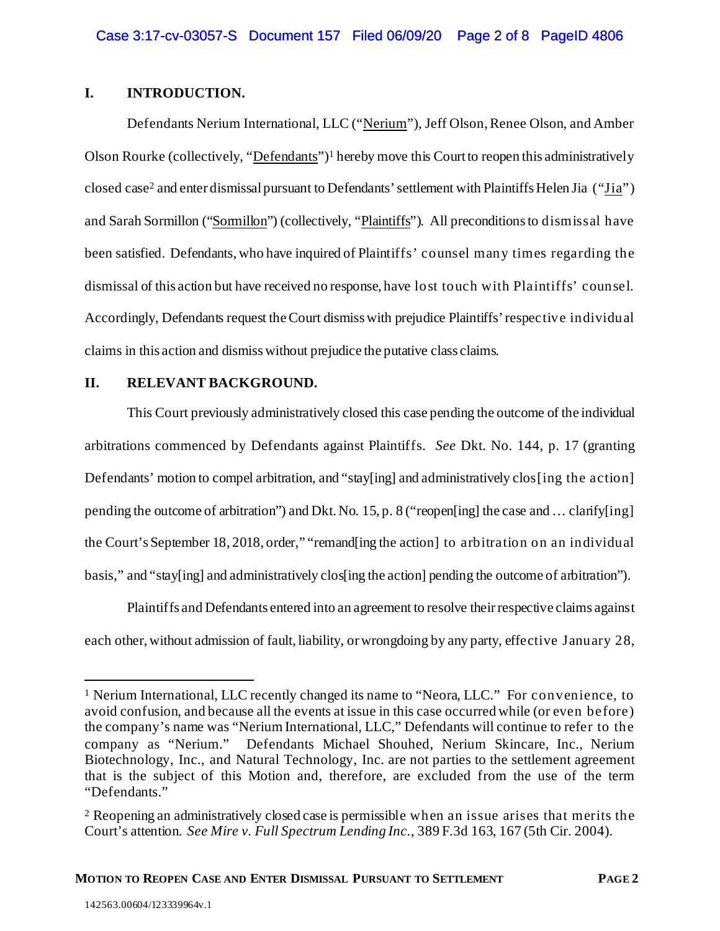## **I. INTRODUCTION.**

Defendants Nerium International, LLC ("Nerium"), Jeff Olson, Renee Olson, and Amber Olson Rourke (collectively, "Defendants")<sup>[1](#page-1-0)</sup> hereby move this Court to reopen this administratively closed case[2](#page-1-1) and enter dismissalpursuant to Defendants' settlement with Plaintiffs Helen Jia ("Jia") and Sarah Sormillon ("Sormillon") (collectively, "Plaintiffs"). All preconditionsto dismissal have been satisfied. Defendants, who have inquired of Plaintiffs' counsel many times regarding the dismissal of this action but have received no response, have lost touch with Plaintiffs' counsel. Accordingly, Defendants request the Court dismiss with prejudice Plaintiffs' respective individual claims in this action and dismisswithout prejudice the putative class claims.

## **II. RELEVANT BACKGROUND.**

This Court previously administratively closed this case pending the outcome of the individual arbitrations commenced by Defendants against Plaintiffs. *See* Dkt. No. 144, p. 17 (granting Defendants' motion to compel arbitration, and "stay[ing] and administratively clos[ing the action] pending the outcome of arbitration") and Dkt. No. 15, p. 8 ("reopen[ing] the case and … clarify[ing] the Court's September 18, 2018, order," "remand[ing the action] to arbitration on an individual basis," and "stay[ing] and administratively clos[ing the action] pending the outcome of arbitration").

Plaintiffs and Defendants entered into an agreement to resolve their respective claims against each other, without admission of fault, liability, or wrongdoing by any party, effective January 28,

<span id="page-1-0"></span><sup>1</sup> Nerium International, LLC recently changed its name to "Neora, LLC." For convenience, to avoid confusion, and because all the events at issue in this case occurred while (or even before) the company's name was "Nerium International, LLC," Defendants will continue to refer to the company as "Nerium." Defendants Michael Shouhed, Nerium Skincare, Inc., Nerium Biotechnology, Inc., and Natural Technology, Inc. are not parties to the settlement agreement that is the subject of this Motion and, therefore, are excluded from the use of the term "Defendants."

<span id="page-1-1"></span><sup>2</sup> Reopening an administratively closed case is permissible when an issue arises that merits the Court's attention. *See Mire v. Full Spectrum Lending Inc.*, 389 F.3d 163, 167 (5th Cir. 2004).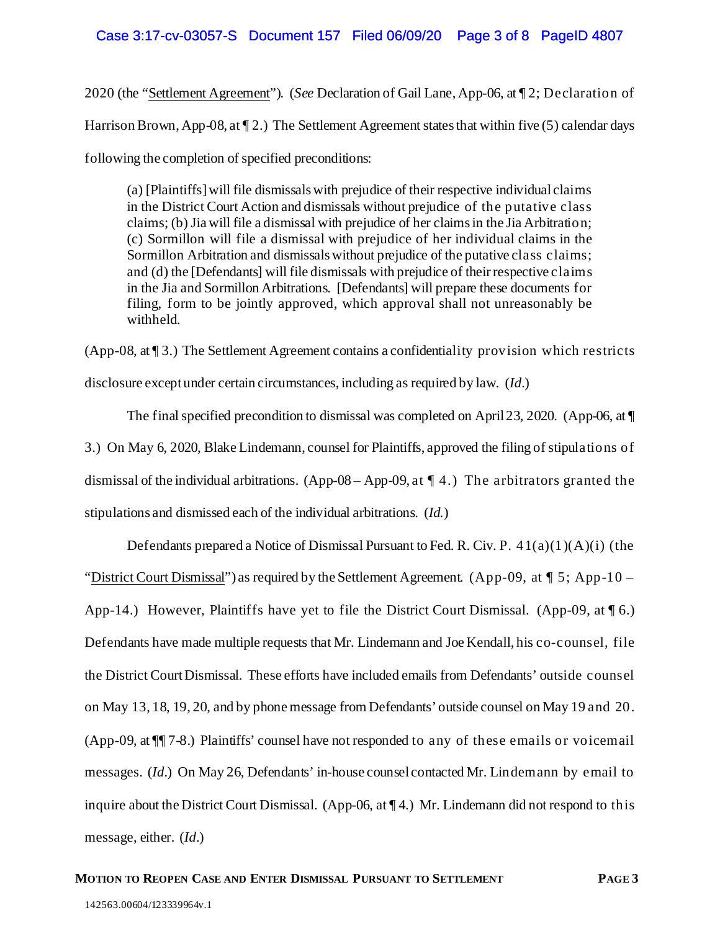## Case 3:17-cv-03057-S Document 157 Filed 06/09/20 Page 3 of 8 PageID 4807

2020 (the "Settlement Agreement"). (*See* Declaration of Gail Lane, App-06, at ¶ 2; Declaration of Harrison Brown, App-08, at  $\P$  2.) The Settlement Agreement states that within five (5) calendar days following the completion of specified preconditions:

(a) [Plaintiffs] will file dismissals with prejudice of their respective individual claims in the District Court Action and dismissals without prejudice of the putative class claims; (b) Jia will file a dismissal with prejudice of her claims in the Jia Arbitration; (c) Sormillon will file a dismissal with prejudice of her individual claims in the Sormillon Arbitration and dismissals without prejudice of the putative class claims; and (d) the [Defendants] will file dismissals with prejudice of their respective claims in the Jia and Sormillon Arbitrations. [Defendants] will prepare these documents for filing, form to be jointly approved, which approval shall not unreasonably be withheld.

(App-08, at ¶ 3.) The Settlement Agreement contains a confidentiality provision which restricts disclosure except under certain circumstances, including as required by law. (*Id.*)

The final specified precondition to dismissal was completed on April 23, 2020. (App-06, at  $\P$ 3.) On May 6, 2020, Blake Lindemann, counsel for Plaintiffs, approved the filing of stipulations of dismissal of the individual arbitrations. (App-08 – App-09, at  $\P$  4.) The arbitrators granted the stipulations and dismissed each of the individual arbitrations. (*Id.*)

Defendants prepared a Notice of Dismissal Pursuant to Fed. R. Civ. P.  $41(a)(1)(A)(i)$  (the "District Court Dismissal") as required by the Settlement Agreement. (App-09, at  $\P$  5; App-10 – App-14.) However, Plaintiffs have yet to file the District Court Dismissal. (App-09, at  $\llbracket 6$ .) Defendants have made multiple requests that Mr. Lindemann and Joe Kendall, his co-counsel, file the District Court Dismissal. These efforts have included emails from Defendants' outside counsel on May 13, 18, 19, 20, and by phone message from Defendants' outside counsel on May 19 and 20. (App-09, at ¶¶ 7-8.) Plaintiffs' counsel have not responded to any of these emails or voicemail messages. (*Id.*) On May 26, Defendants' in-house counsel contacted Mr. Lindemann by email to inquire about the District Court Dismissal. (App-06, at ¶ 4.) Mr. Lindemann did not respond to this message, either. (*Id.*)

#### **MOTION TO REOPEN CASE AND ENTER DISMISSAL PURSUANT TO SETTLEMENT PAGE 3**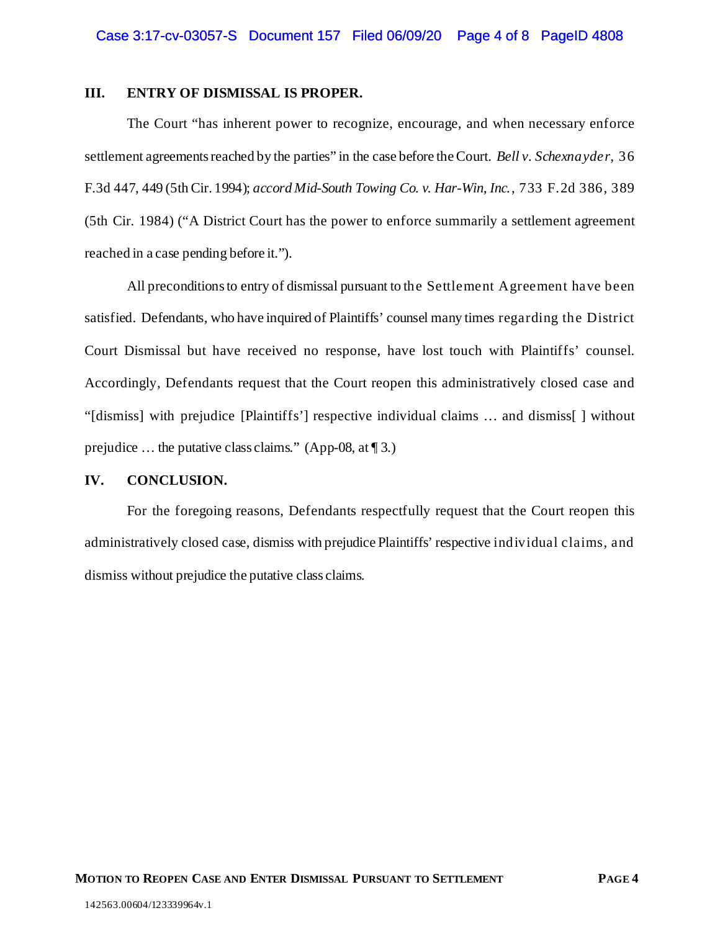### **III. ENTRY OF DISMISSAL IS PROPER.**

The Court "has inherent power to recognize, encourage, and when necessary enforce settlement agreements reached by the parties" in the case before the Court. *Bell v. Schexnayder*, 36 F.3d 447, 449 (5th Cir. 1994); *accord Mid-South Towing Co. v. Har-Win, Inc.*, 733 F.2d 386, 389 (5th Cir. 1984) ("A District Court has the power to enforce summarily a settlement agreement reached in a case pending before it.").

All preconditions to entry of dismissal pursuant to the Settlement Agreement have been satisfied. Defendants, who have inquired of Plaintiffs' counsel many times regarding the District Court Dismissal but have received no response, have lost touch with Plaintiffs' counsel. Accordingly, Defendants request that the Court reopen this administratively closed case and "[dismiss] with prejudice [Plaintiffs'] respective individual claims … and dismiss[ ] without prejudice … the putative class claims." (App-08, at ¶ 3.)

#### **IV. CONCLUSION.**

For the foregoing reasons, Defendants respectfully request that the Court reopen this administratively closed case, dismiss with prejudice Plaintiffs' respective individual claims, and dismiss without prejudice the putative class claims.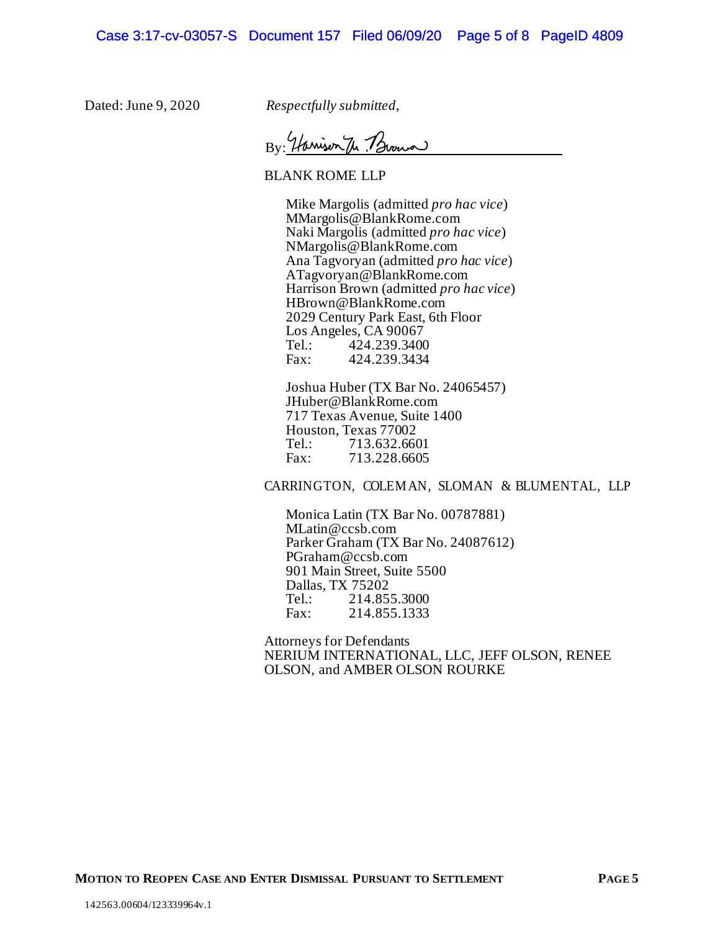Dated: June 9, 2020 *Respectfully submitted*,

By Harrison The Brown

BLANK ROME LLP

Mike Margolis (admitted *pro hac vice*) MMargolis@BlankRome.com Naki Margolis (admitted *pro hac vice*) NMargolis@BlankRome.com Ana Tagvoryan (admitted *pro hac vice*) ATagvoryan@BlankRome.com Harrison Brown (admitted *pro hac vice*) HBrown@BlankRome.com 2029 Century Park East, 6th Floor Los Angeles, CA 90067<br>Tel.: 424.239.3400 Tel.: 424.239.3400<br>Fax: 424.239.3434 Fax: 424.239.3434

Joshua Huber (TX Bar No. 24065457) JHuber@BlankRome.com 717 Texas Avenue, Suite 1400 Houston, Texas 77002 Tel.: 713.632.6601<br>Fax: 713.228.6605 713.228.6605

CARRINGTON, COLEM AN, SLOMAN & BLUMENTAL, LLP

Monica Latin (TX Bar No. 00787881) MLatin@ccsb.com Parker Graham (TX Bar No. 24087612) PGraham@ccsb.com 901 Main Street, Suite 5500 Dallas, TX 75202 Tel.: 214.855.3000<br>Fax: 214.855.1333 Fax: 214.855.1333

Attorneys for Defendants NERIUM INTERNATIONAL, LLC, JEFF OLSON, RENEE OLSON, and AMBER OLSON ROURKE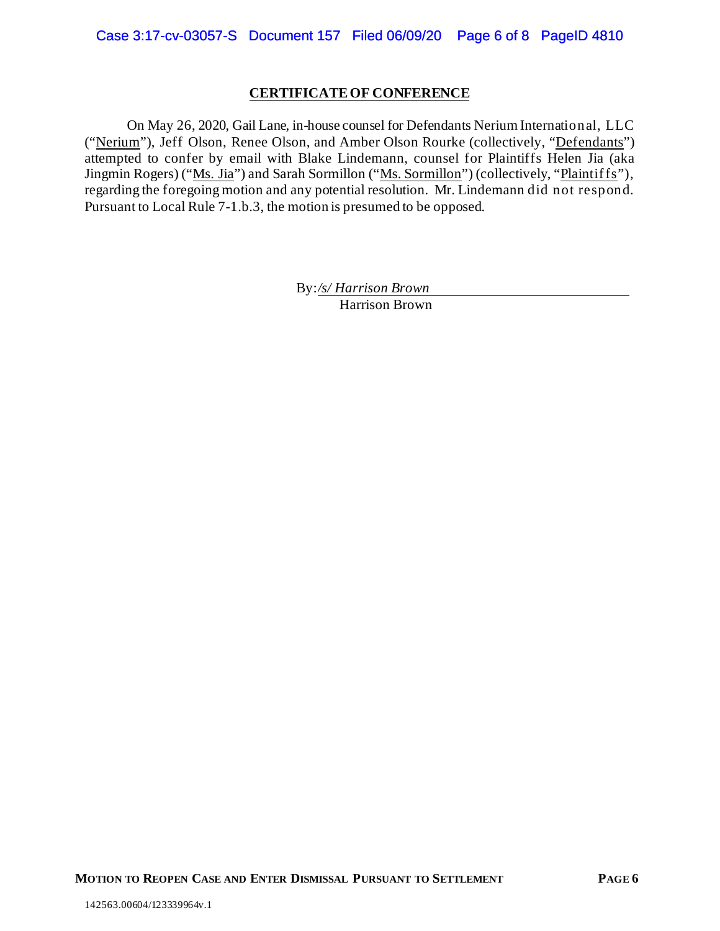### **CERTIFICATE OF CONFERENCE**

On May 26, 2020, Gail Lane, in-house counsel for Defendants Nerium International, LLC ("Nerium"), Jeff Olson, Renee Olson, and Amber Olson Rourke (collectively, "Defendants") attempted to confer by email with Blake Lindemann, counsel for Plaintiffs Helen Jia (aka Jingmin Rogers) ("Ms. Jia") and Sarah Sormillon ("Ms. Sormillon") (collectively, "Plaintiffs"), regarding the foregoing motion and any potential resolution. Mr. Lindemann did not respond. Pursuant to Local Rule 7-1.b.3, the motion is presumed to be opposed.

> By:*/s/ Harrison Brown* Harrison Brown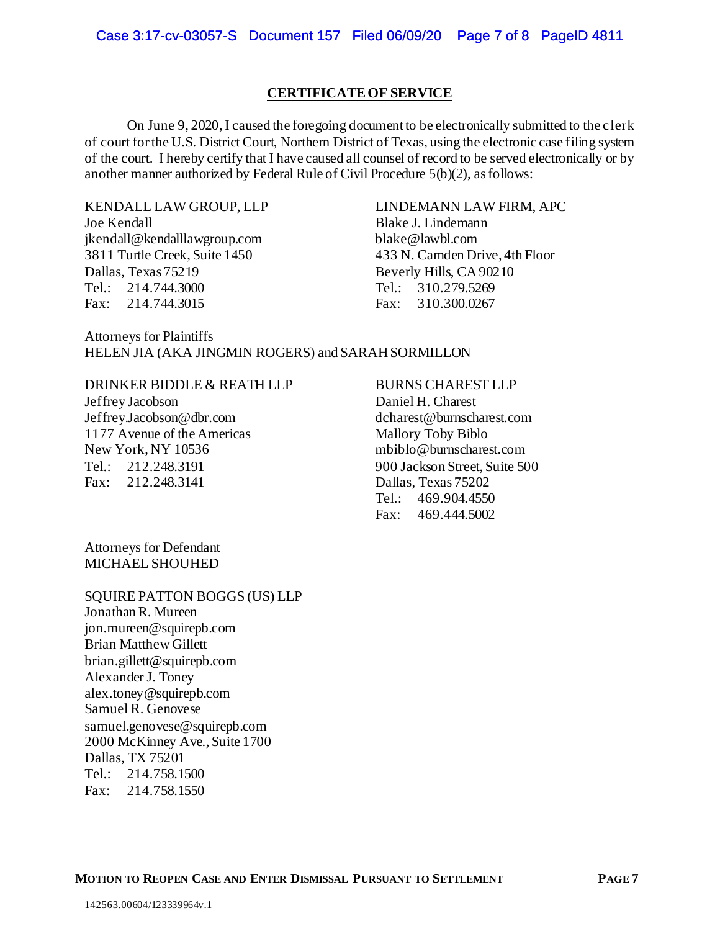### **CERTIFICATE OF SERVICE**

On June 9, 2020, I caused the foregoing document to be electronically submitted to the clerk of court for the U.S. District Court, Northern District of Texas, using the electronic case filing system of the court. I hereby certify that I have caused all counsel of record to be served electronically or by another manner authorized by Federal Rule of Civil Procedure 5(b)(2), as follows:

KENDALL LAW GROUP, LLP Joe Kendall jkendall@kendalllawgroup.com 3811 Turtle Creek, Suite 1450 Dallas, Texas 75219 Tel.: 214.744.3000 Fax: 214.744.3015

LINDEMANN LAW FIRM, APC Blake J. Lindemann blake@lawbl.com 433 N. Camden Drive, 4th Floor Beverly Hills, CA 90210 Tel.: 310.279.5269 Fax: 310.300.0267

Attorneys for Plaintiffs HELEN JIA (AKA JINGMIN ROGERS) and SARAH SORMILLON

# DRINKER BIDDLE & REATH LLP

Jeffrey Jacobson Jeffrey.Jacobson@dbr.com 1177 Avenue of the Americas New York, NY 10536 Tel.: 212.248.3191 Fax: 212.248.3141

#### BURNS CHAREST LLP

Daniel H. Charest dcharest@burnscharest.com Mallory Toby Biblo mbiblo@burnscharest.com 900 Jackson Street, Suite 500 Dallas, Texas 75202 Tel.: 469.904.4550 Fax: 469.444.5002

Attorneys for Defendant MICHAEL SHOUHED

#### SQUIRE PATTON BOGGS (US) LLP

Jonathan R. Mureen jon.mureen@squirepb.com Brian Matthew Gillett brian.gillett@squirepb.com Alexander J. Toney alex.toney@squirepb.com Samuel R. Genovese samuel.genovese@squirepb.com 2000 McKinney Ave., Suite 1700 Dallas, TX 75201 Tel.: 214.758.1500 Fax: 214.758.1550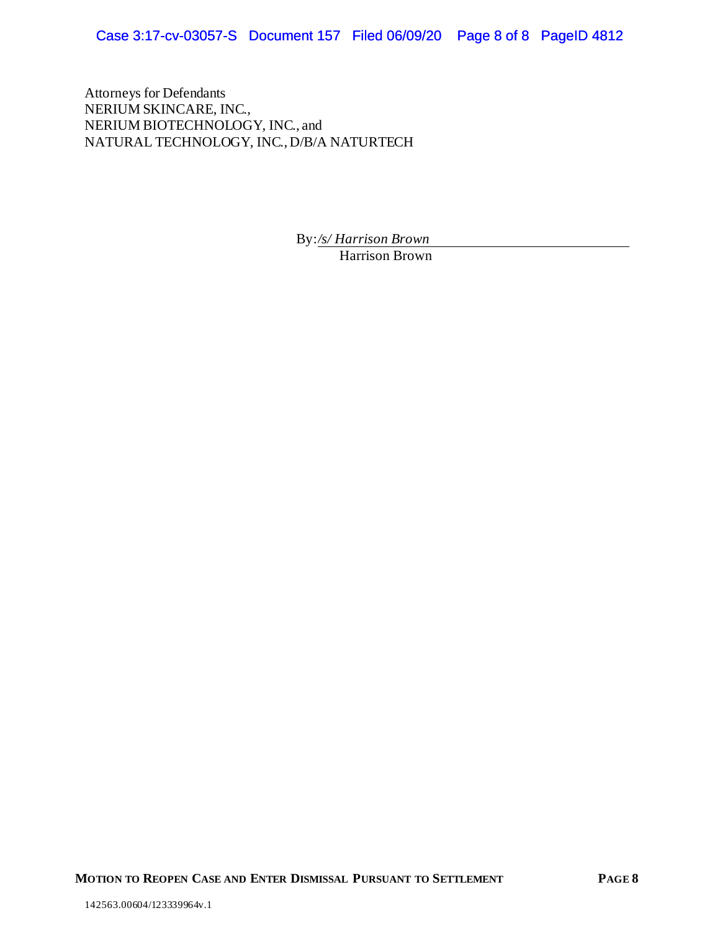Case 3:17-cv-03057-S Document 157 Filed 06/09/20 Page 8 of 8 PageID 4812

Attorneys for Defendants NERIUM SKINCARE, INC., NERIUM BIOTECHNOLOGY, INC., and NATURAL TECHNOLOGY, INC., D/B/A NATURTECH

By:*/s/ Harrison Brown*

Harrison Brown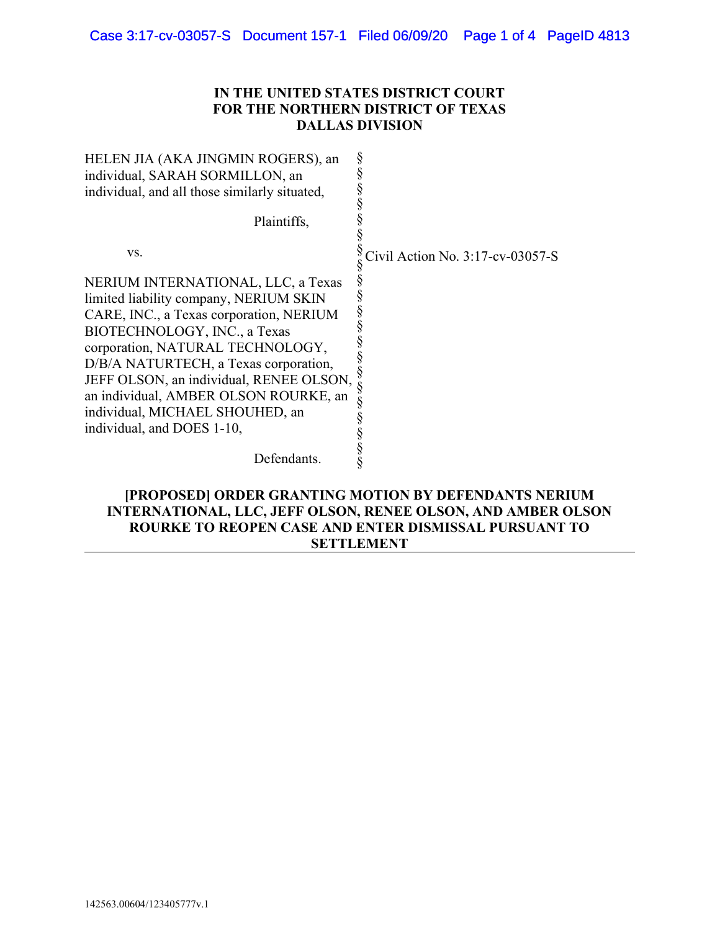# IN THE UNITED STATES DISTRICT COURT FOR THE NORTHERN DISTRICT OF TEXAS DALLAS DIVISION

| HELEN JIA (AKA JINGMIN ROGERS), an                                                                                                                                                                                                                                                                                                                          |                                  |
|-------------------------------------------------------------------------------------------------------------------------------------------------------------------------------------------------------------------------------------------------------------------------------------------------------------------------------------------------------------|----------------------------------|
| individual, SARAH SORMILLON, an                                                                                                                                                                                                                                                                                                                             |                                  |
| individual, and all those similarly situated,                                                                                                                                                                                                                                                                                                               |                                  |
|                                                                                                                                                                                                                                                                                                                                                             |                                  |
| Plaintiffs,                                                                                                                                                                                                                                                                                                                                                 |                                  |
|                                                                                                                                                                                                                                                                                                                                                             |                                  |
| VS.                                                                                                                                                                                                                                                                                                                                                         | Civil Action No. 3:17-cv-03057-S |
| NERIUM INTERNATIONAL, LLC, a Texas<br>limited liability company, NERIUM SKIN<br>CARE, INC., a Texas corporation, NERIUM<br>BIOTECHNOLOGY, INC., a Texas<br>corporation, NATURAL TECHNOLOGY,<br>D/B/A NATURTECH, a Texas corporation,<br>JEFF OLSON, an individual, RENEE OLSON,<br>an individual, AMBER OLSON ROURKE, an<br>individual, MICHAEL SHOUHED, an |                                  |
| individual, and DOES 1-10,                                                                                                                                                                                                                                                                                                                                  |                                  |
|                                                                                                                                                                                                                                                                                                                                                             |                                  |
| Defendants.                                                                                                                                                                                                                                                                                                                                                 |                                  |

# [PROPOSED] ORDER GRANTING MOTION BY DEFENDANTS NERIUM INTERNATIONAL, LLC, JEFF OLSON, RENEE OLSON, AND AMBER OLSON ROURKE TO REOPEN CASE AND ENTER DISMISSAL PURSUANT TO SETTLEMENT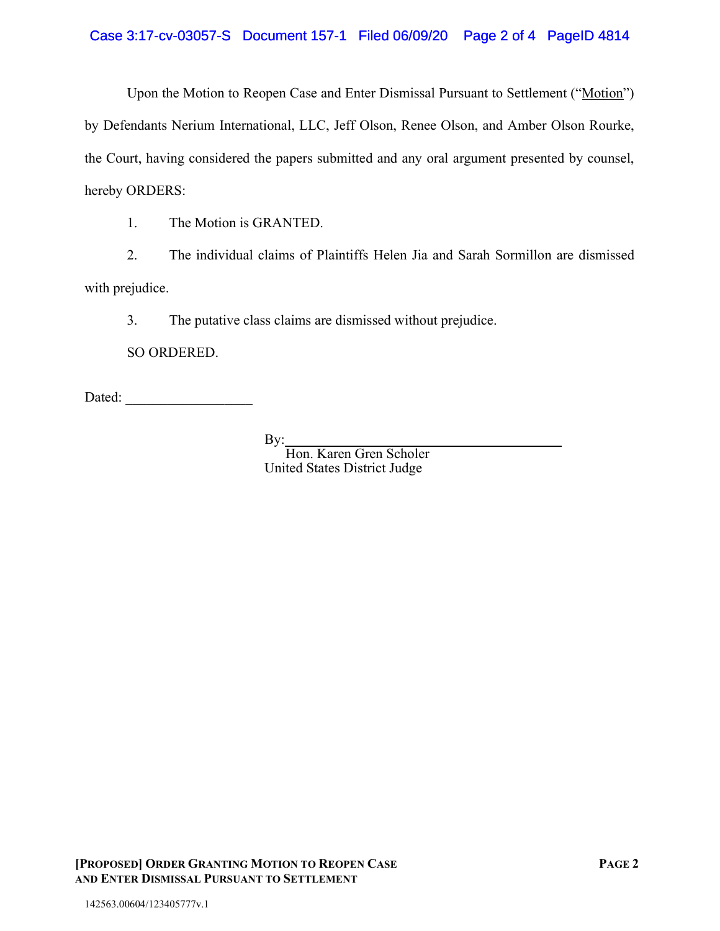Case 3:17-cv-03057-S Document 157-1 Filed 06/09/20 Page 2 of 4 PageID 4814

Upon the Motion to Reopen Case and Enter Dismissal Pursuant to Settlement ("Motion") by Defendants Nerium International, LLC, Jeff Olson, Renee Olson, and Amber Olson Rourke, the Court, having considered the papers submitted and any oral argument presented by counsel,

hereby ORDERS:

1. The Motion is GRANTED.

2. The individual claims of Plaintiffs Helen Jia and Sarah Sormillon are dismissed with prejudice.

3. The putative class claims are dismissed without prejudice.

SO ORDERED.

Dated: \_\_\_\_\_\_\_\_\_\_\_\_\_\_\_\_\_\_

By:

Hon. Karen Gren Scholer United States District Judge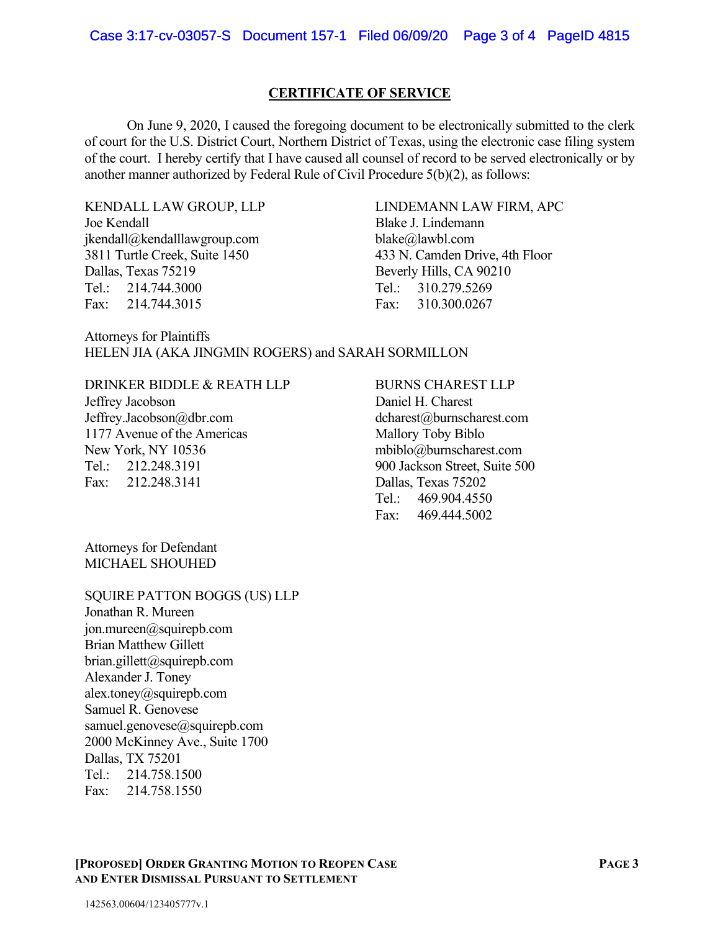## CERTIFICATE OF SERVICE

On June 9, 2020, I caused the foregoing document to be electronically submitted to the clerk of court for the U.S. District Court, Northern District of Texas, using the electronic case filing system of the court. I hereby certify that I have caused all counsel of record to be served electronically or by another manner authorized by Federal Rule of Civil Procedure 5(b)(2), as follows:

KENDALL LAW GROUP, LLP Joe Kendall jkendall@kendalllawgroup.com 3811 Turtle Creek, Suite 1450 Dallas, Texas 75219 Tel.: 214.744.3000 Fax: 214.744.3015

 LINDEMANN LAW FIRM, APC Blake J. Lindemann blake@lawbl.com 433 N. Camden Drive, 4th Floor Beverly Hills, CA 90210 Tel.: 310.279.5269 Fax: 310.300.0267

Attorneys for Plaintiffs HELEN JIA (AKA JINGMIN ROGERS) and SARAH SORMILLON

DRINKER BIDDLE & REATH LLP Jeffrey Jacobson Jeffrey.Jacobson@dbr.com 1177 Avenue of the Americas New York, NY 10536 Tel.: 212.248.3191 Fax: 212.248.3141

# BURNS CHAREST LLP

Daniel H. Charest dcharest@burnscharest.com Mallory Toby Biblo mbiblo@burnscharest.com 900 Jackson Street, Suite 500 Dallas, Texas 75202 Tel.: 469.904.4550 Fax: 469.444.5002

Attorneys for Defendant MICHAEL SHOUHED

#### SQUIRE PATTON BOGGS (US) LLP

Jonathan R. Mureen jon.mureen@squirepb.com Brian Matthew Gillett brian.gillett@squirepb.com Alexander J. Toney alex.toney@squirepb.com Samuel R. Genovese samuel.genovese@squirepb.com 2000 McKinney Ave., Suite 1700 Dallas, TX 75201 Tel.: 214.758.1500 Fax: 214.758.1550